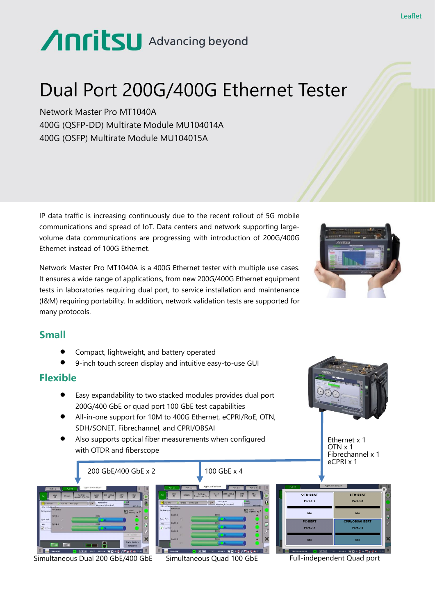# Anritsu Advancing beyond

# Dual Port 200G/400G Ethernet Tester

Network Master Pro MT1040A 400G (QSFP-DD) Multirate Module MU104014A 400G (OSFP) Multirate Module MU104015A

IP data traffic is increasing continuously due to the recent rollout of 5G mobile communications and spread of IoT. Data centers and network supporting largevolume data communications are progressing with introduction of 200G/400G Ethernet instead of 100G Ethernet.

Network Master Pro MT1040A is a 400G Ethernet tester with multiple use cases. It ensures a wide range of applications, from new 200G/400G Ethernet equipment tests in laboratories requiring dual port, to service installation and maintenance (I&M) requiring portability. In addition, network validation tests are supported for many protocols.



# **Small**

- ⚫ Compact, lightweight, and battery operated
- ⚫ 9-inch touch screen display and intuitive easy-to-use GUI

#### **Flexible**

- ⚫ Easy expandability to two stacked modules provides dual port 200G/400 GbE or quad port 100 GbE test capabilities
- ⚫ All-in-one support for 10M to 400G Ethernet, eCPRI/RoE, OTN, SDH/SONET, Fibrechannel, and CPRI/OBSAI
- ⚫ Also supports optical fiber measurements when configured with OTDR and fiberscope



Simultaneous Dual 200 GbE/400 GbE Simultaneous Quad 100 GbE Full-independent Quad port

Ethernet x 1 OTN x 1